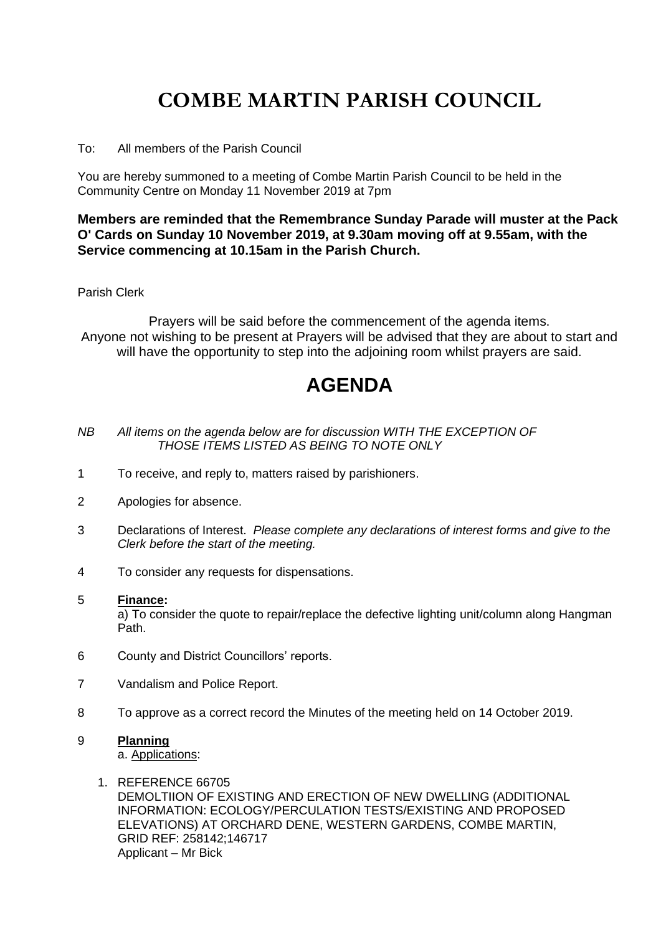## **COMBE MARTIN PARISH COUNCIL**

To: All members of the Parish Council

You are hereby summoned to a meeting of Combe Martin Parish Council to be held in the Community Centre on Monday 11 November 2019 at 7pm

### **Members are reminded that the Remembrance Sunday Parade will muster at the Pack O' Cards on Sunday 10 November 2019, at 9.30am moving off at 9.55am, with the Service commencing at 10.15am in the Parish Church.**

#### Parish Clerk

Prayers will be said before the commencement of the agenda items. Anyone not wishing to be present at Prayers will be advised that they are about to start and will have the opportunity to step into the adjoining room whilst prayers are said.

### **AGENDA**

- *NB All items on the agenda below are for discussion WITH THE EXCEPTION OF THOSE ITEMS LISTED AS BEING TO NOTE ONLY*
- 1 To receive, and reply to, matters raised by parishioners.
- 2 Apologies for absence.
- 3 Declarations of Interest. *Please complete any declarations of interest forms and give to the Clerk before the start of the meeting.*
- 4 To consider any requests for dispensations.

#### 5 **Finance:**

a) To consider the quote to repair/replace the defective lighting unit/column along Hangman Path.

- 6 County and District Councillors' reports.
- 7 Vandalism and Police Report.
- 8 To approve as a correct record the Minutes of the meeting held on 14 October 2019.

### 9 **Planning**

a. Applications:

1. REFERENCE 66705 DEMOLTIION OF EXISTING AND ERECTION OF NEW DWELLING (ADDITIONAL INFORMATION: ECOLOGY/PERCULATION TESTS/EXISTING AND PROPOSED ELEVATIONS) AT ORCHARD DENE, WESTERN GARDENS, COMBE MARTIN, GRID REF: 258142;146717 Applicant – Mr Bick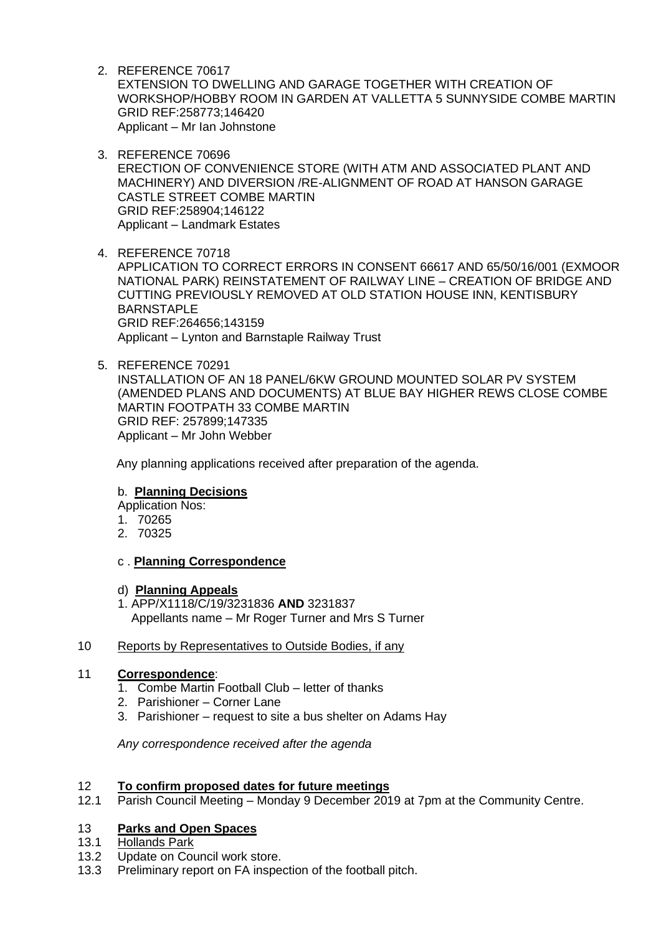- 2. REFERENCE 70617 EXTENSION TO DWELLING AND GARAGE TOGETHER WITH CREATION OF WORKSHOP/HOBBY ROOM IN GARDEN AT VALLETTA 5 SUNNYSIDE COMBE MARTIN GRID REF:258773;146420 Applicant – Mr Ian Johnstone
- 3. REFERENCE 70696 ERECTION OF CONVENIENCE STORE (WITH ATM AND ASSOCIATED PLANT AND MACHINERY) AND DIVERSION /RE-ALIGNMENT OF ROAD AT HANSON GARAGE CASTLE STREET COMBE MARTIN GRID REF:258904;146122 Applicant – Landmark Estates
- 4. REFERENCE 70718 APPLICATION TO CORRECT ERRORS IN CONSENT 66617 AND 65/50/16/001 (EXMOOR NATIONAL PARK) REINSTATEMENT OF RAILWAY LINE – CREATION OF BRIDGE AND CUTTING PREVIOUSLY REMOVED AT OLD STATION HOUSE INN, KENTISBURY BARNSTAPLE GRID REF:264656;143159 Applicant – Lynton and Barnstaple Railway Trust
- 5. REFERENCE 70291 INSTALLATION OF AN 18 PANEL/6KW GROUND MOUNTED SOLAR PV SYSTEM (AMENDED PLANS AND DOCUMENTS) AT BLUE BAY HIGHER REWS CLOSE COMBE MARTIN FOOTPATH 33 COMBE MARTIN GRID REF: 257899;147335 Applicant – Mr John Webber

Any planning applications received after preparation of the agenda.

### b. **Planning Decisions**

Application Nos:

- 1. 70265
- 2. 70325

### c . **Planning Correspondence**

### d) **Planning Appeals**

1. APP/X1118/C/19/3231836 **AND** 3231837 Appellants name – Mr Roger Turner and Mrs S Turner

### 10 Reports by Representatives to Outside Bodies, if any

### 11 **Correspondence**:

- 1. Combe Martin Football Club letter of thanks
- 2. Parishioner Corner Lane
- 3. Parishioner request to site a bus shelter on Adams Hay

*Any correspondence received after the agenda*

## 12 **To confirm proposed dates for future meetings**

Parish Council Meeting – Monday 9 December 2019 at 7pm at the Community Centre.

### 13 **Parks and Open Spaces**

- 13.1 Hollands Park
- 13.2 Update on Council work store.
- 13.3 Preliminary report on FA inspection of the football pitch.